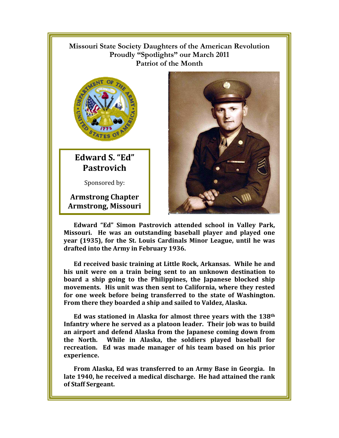## !!!!!!!!! **Missouri State Society Daughters of the American Revolution Proudly "Spotlights" our March 2011 Patriot of the Month**



**Edward S. "Ed" Pastrovich** 

Sponsored by:

**Armstrong Chapter Armstrong, Missouri** 



**Edward "Ed" Simon Pastrovich attended school in Valley Park, Missouri. He was an outstanding baseball player and played one year (1935), for the St. Louis Cardinals Minor League, until he was drafted into the Army in February 1936.** 

**Ed received basic training at Little Rock, Arkansas. While he and his unit were on a train being sent to an unknown destination to board a ship going to the Philippines, the Japanese blocked ship movements. His unit was then sent to California, where they rested for one week before being transferred to the state of Washington. From there they boarded a ship and sailed to Valdez, Alaska.** 

**Ed was stationed in Alaska for almost three years with the 138th Infantry where he served as a platoon leader. Their job was to build an airport and defend Alaska from the Japanese coming down from the North. While in Alaska, the soldiers played baseball for recreation. Ed was made manager of his team based on his prior experience.** 

**From Alaska, Ed was transferred to an Army Base in Georgia. In late 1940, he received a medical discharge. He had attained the rank of Staff Sergeant.**